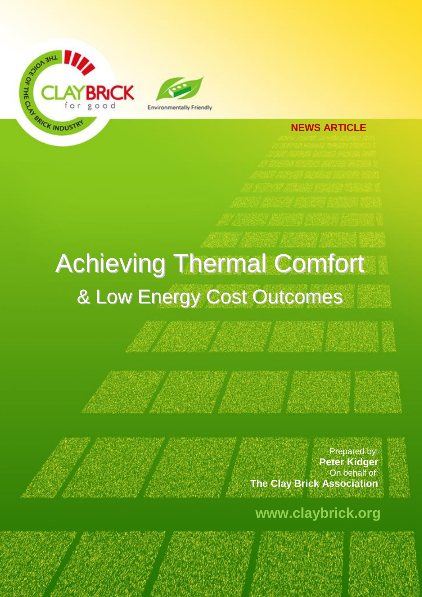

## **NEWS ARTICLE**

## Achieving Thermal Comfort & Low Energy Cost Outcomes

Prepared by: **Peter Kidger** On behalf of: **The Clay Brick Association**

**www.claybrick.org**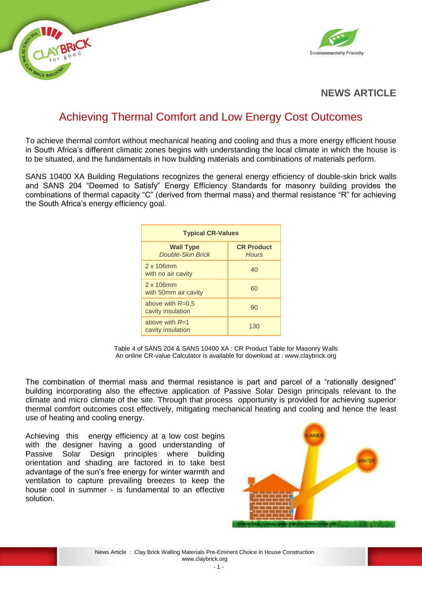



## **NEWS ARTICLE**

## Achieving Thermal Comfort and Low Energy Cost Outcomes

To achieve thermal comfort without mechanical heating and cooling and thus a more energy efficient house in South Africa's different climatic zones begins with understanding the local climate in which the house is to be situated, and the fundamentals in how building materials and combinations of materials perform.

SANS 10400 XA Building Regulations recognizes the general energy efficiency of double-skin brick walls and SANS 204 "Deemed to Satisfy" Energy Efficiency Standards for masonry building provides the combinations of thermal capacity "C" (derived from thermal mass) and thermal resistance "R" for achieving the South Africa's energy efficiency goal.

| <b>Typical CR-Values</b>                     |                                   |  |  |  |  |
|----------------------------------------------|-----------------------------------|--|--|--|--|
| <b>Wall Type</b><br><b>Double-Skin Brick</b> | <b>CR Product</b><br><b>Hours</b> |  |  |  |  |
| $2 \times 106$ mm<br>with no air cavity      | 40                                |  |  |  |  |
| 2 x 106mm<br>with 50mm air cavity            | 60                                |  |  |  |  |
| above with $R=0.5$<br>cavity insulation      | 90                                |  |  |  |  |
| above with $R=1$<br>cavity insulation        | 130                               |  |  |  |  |

Table 4 of SANS 204 & SANS 10400 XA : CR Product Table for Masonry Walls An online CR-value Calculator is available for download at : www.claybrick.org

The combination of thermal mass and thermal resistance is part and parcel of a "rationally designed" building incorporating also the effective application of Passive Solar Design principals relevant to the climate and micro climate of the site. Through that process opportunity is provided for achieving superior thermal comfort outcomes cost effectively, mitigating mechanical heating and cooling and hence the least use of heating and cooling energy.

Achieving this energy efficiency at a low cost begins with the designer having a good understanding of Passive Solar Design principles where building orientation and shading are factored in to take best advantage of the sun's free energy for winter warmth and ventilation to capture prevailing breezes to keep the house cool in summer - is fundamental to an effective solution.

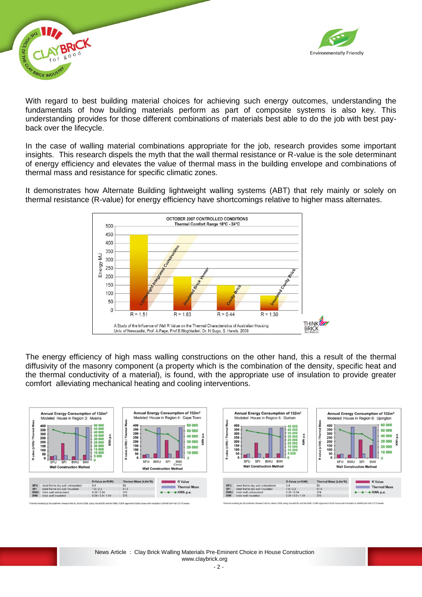



With regard to best building material choices for achieving such energy outcomes, understanding the fundamentals of how building materials perform as part of composite systems is also key. This understanding provides for those different combinations of materials best able to do the job with best payback over the lifecycle.

In the case of walling material combinations appropriate for the job, research provides some important insights. This research dispels the myth that the wall thermal resistance or R-value is the sole determinant of energy efficiency and elevates the value of thermal mass in the building envelope and combinations of thermal mass and resistance for specific climatic zones.

It demonstrates how Alternate Building lightweight walling systems (ABT) that rely mainly or solely on thermal resistance (R-value) for energy efficiency have shortcomings relative to higher mass alternates.



The energy efficiency of high mass walling constructions on the other hand, this a result of the thermal diffusivity of the masonry component (a property which is the combination of the density, specific heat and the thermal conductivity of a material), is found, with the appropriate use of insulation to provide greater comfort alleviating mechanical heating and cooling interventions.

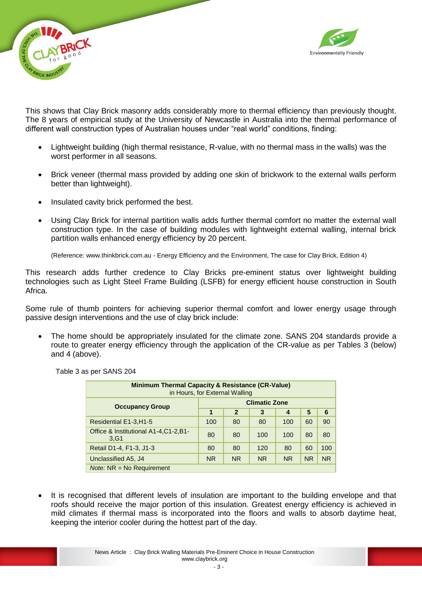



This shows that Clay Brick masonry adds considerably more to thermal efficiency than previously thought. The 8 years of empirical study at the University of Newcastle in Australia into the thermal performance of different wall construction types of Australian houses under "real world" conditions, finding:

- Lightweight building (high thermal resistance, R-value, with no thermal mass in the walls) was the worst performer in all seasons.
- Brick veneer (thermal mass provided by adding one skin of brickwork to the external walls perform better than lightweight).
- Insulated cavity brick performed the best.
- Using Clay Brick for internal partition walls adds further thermal comfort no matter the external wall construction type. In the case of building modules with lightweight external walling, internal brick partition walls enhanced energy efficiency by 20 percent.

(Reference: [www.thinkbrick.com.au](http://www.thinkbrick.com.au/) - Energy Efficiency and the Environment, The case for Clay Brick, Edition 4)

This research adds further credence to Clay Bricks pre-eminent status over lightweight building technologies such as Light Steel Frame Building (LSFB) for energy efficient house construction in South Africa.

Some rule of thumb pointers for achieving superior thermal comfort and lower energy usage through passive design interventions and the use of clay brick include:

 The home should be appropriately insulated for the climate zone. SANS 204 standards provide a route to greater energy efficiency through the application of the CR-value as per Tables 3 (below) and 4 (above).

| <b>Minimum Thermal Capacity &amp; Resistance (CR-Value)</b><br>in Hours, for External Walling |                      |              |           |           |           |           |  |
|-----------------------------------------------------------------------------------------------|----------------------|--------------|-----------|-----------|-----------|-----------|--|
| <b>Occupancy Group</b>                                                                        | <b>Climatic Zone</b> |              |           |           |           |           |  |
|                                                                                               | 1                    | $\mathbf{2}$ | 3         | 4         | 5         | 6         |  |
| Residential E1-3, H1-5                                                                        | 100                  | 80           | 80        | 100       | 60        | 90        |  |
| Office & Institutional A1-4, C1-2, B1-<br>3.G1                                                | 80                   | 80           | 100       | 100       | 80        | 80        |  |
| Retail D1-4, F1-3, J1-3                                                                       | 80                   | 80           | 120       | 80        | 60        | 100       |  |
| Unclassified A5, J4                                                                           | <b>NR</b>            | <b>NR</b>    | <b>NR</b> | <b>NR</b> | <b>NR</b> | <b>NR</b> |  |
| $Note: NR = No\,$ Requirement                                                                 |                      |              |           |           |           |           |  |

Table 3 as per SANS 204

 It is recognised that different levels of insulation are important to the building envelope and that roofs should receive the major portion of this insulation. Greatest energy efficiency is achieved in mild climates if thermal mass is incorporated into the floors and walls to absorb daytime heat, keeping the interior cooler during the hottest part of the day.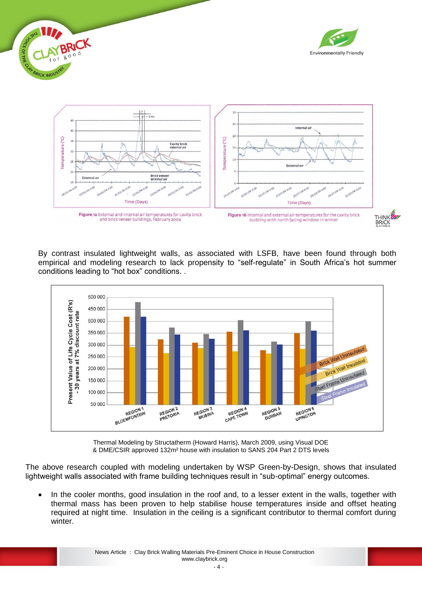

By contrast insulated lightweight walls, as associated with LSFB, have been found through both empirical and modeling research to lack propensity to "self-regulate" in South Africa's hot summer conditions leading to "hot box" conditions. .



Thermal Modeling by Structatherm (Howard Harris), March 2009, using Visual DOE & DME/CSIR approved 132m² house with insulation to SANS 204 Part 2 DTS levels

The above research coupled with modeling undertaken by WSP Green-by-Design, shows that insulated lightweight walls associated with frame building techniques result in "sub-optimal" energy outcomes.

 In the cooler months, good insulation in the roof and, to a lesser extent in the walls, together with thermal mass has been proven to help stabilise house temperatures inside and offset heating required at night time. Insulation in the ceiling is a significant contributor to thermal comfort during winter.